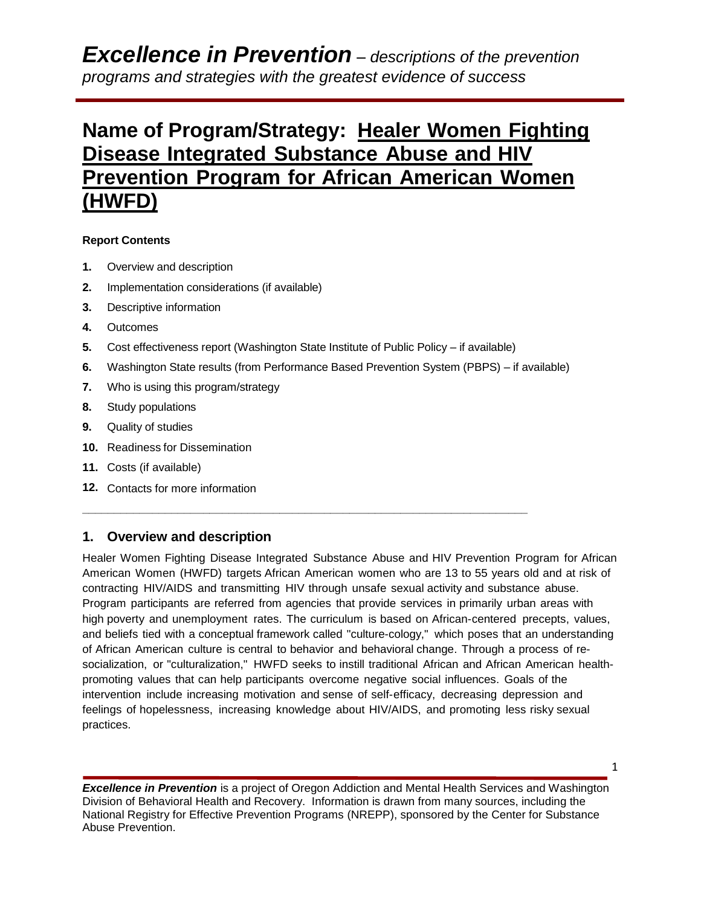# **Name of Program/Strategy: Healer Women Fighting Disease Integrated Substance Abuse and HIV Prevention Program for African American Women (HWFD)**

#### **Report Contents**

- **1.** Overview and description
- **2.** Implementation considerations (if available)
- **3.** Descriptive information
- **4.** Outcomes
- **5.** Cost effectiveness report (Washington State Institute of Public Policy if available)

**\_\_\_\_\_\_\_\_\_\_\_\_\_\_\_\_\_\_\_\_\_\_\_\_\_\_\_\_\_\_\_\_\_\_\_\_\_\_\_\_\_\_\_\_\_\_\_\_\_\_\_\_\_\_\_\_\_\_\_\_\_\_\_\_\_\_\_\_\_\_**

- **6.** Washington State results (from Performance Based Prevention System (PBPS) if available)
- **7.** Who is using this program/strategy
- **8.** Study populations
- **9.** Quality of studies
- **10.** Readiness for Dissemination
- **11.** Costs (if available)
- **12.** Contacts for more information

## **1. Overview and description**

Healer Women Fighting Disease Integrated Substance Abuse and HIV Prevention Program for African American Women (HWFD) targets African American women who are 13 to 55 years old and at risk of contracting HIV/AIDS and transmitting HIV through unsafe sexual activity and substance abuse. Program participants are referred from agencies that provide services in primarily urban areas with high poverty and unemployment rates. The curriculum is based on African-centered precepts, values, and beliefs tied with a conceptual framework called "culture-cology," which poses that an understanding of African American culture is central to behavior and behavioral change. Through a process of resocialization, or "culturalization," HWFD seeks to instill traditional African and African American healthpromoting values that can help participants overcome negative social influences. Goals of the intervention include increasing motivation and sense of self-efficacy, decreasing depression and feelings of hopelessness, increasing knowledge about HIV/AIDS, and promoting less risky sexual practices.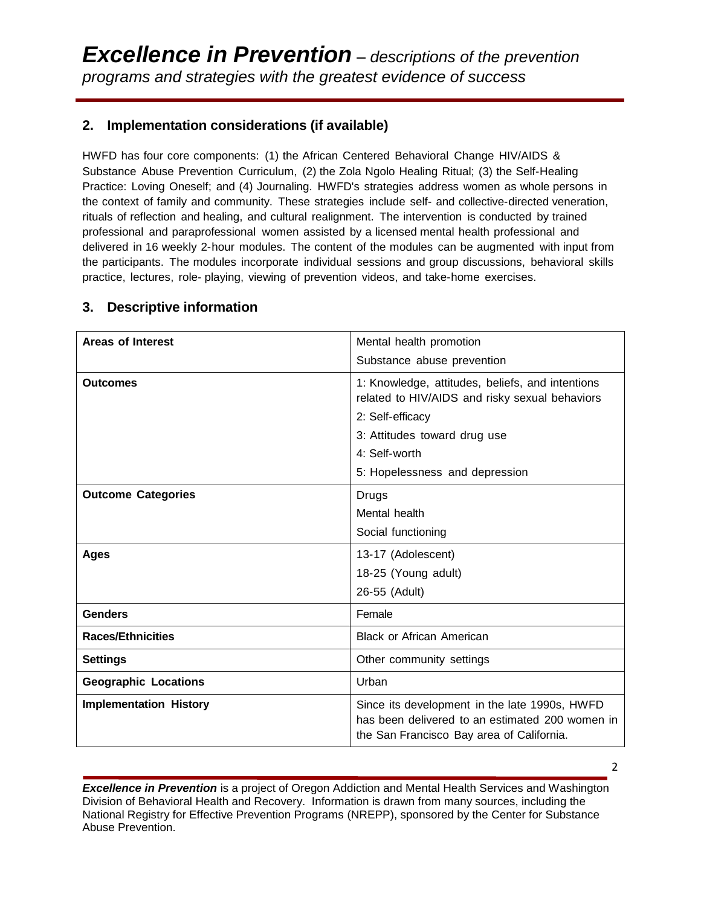# **2. Implementation considerations (if available)**

HWFD has four core components: (1) the African Centered Behavioral Change HIV/AIDS & Substance Abuse Prevention Curriculum, (2) the Zola Ngolo Healing Ritual; (3) the Self-Healing Practice: Loving Oneself; and (4) Journaling. HWFD's strategies address women as whole persons in the context of family and community. These strategies include self- and collective-directed veneration, rituals of reflection and healing, and cultural realignment. The intervention is conducted by trained professional and paraprofessional women assisted by a licensed mental health professional and delivered in 16 weekly 2-hour modules. The content of the modules can be augmented with input from the participants. The modules incorporate individual sessions and group discussions, behavioral skills practice, lectures, role- playing, viewing of prevention videos, and take-home exercises.

| <b>Areas of Interest</b>      | Mental health promotion                                                                                                                       |
|-------------------------------|-----------------------------------------------------------------------------------------------------------------------------------------------|
|                               | Substance abuse prevention                                                                                                                    |
| <b>Outcomes</b>               | 1: Knowledge, attitudes, beliefs, and intentions<br>related to HIV/AIDS and risky sexual behaviors                                            |
|                               | 2: Self-efficacy                                                                                                                              |
|                               | 3: Attitudes toward drug use                                                                                                                  |
|                               | 4: Self-worth                                                                                                                                 |
|                               | 5: Hopelessness and depression                                                                                                                |
| <b>Outcome Categories</b>     | Drugs                                                                                                                                         |
|                               | Mental health                                                                                                                                 |
|                               | Social functioning                                                                                                                            |
| Ages                          | 13-17 (Adolescent)                                                                                                                            |
|                               | 18-25 (Young adult)                                                                                                                           |
|                               | 26-55 (Adult)                                                                                                                                 |
| <b>Genders</b>                | Female                                                                                                                                        |
| <b>Races/Ethnicities</b>      | <b>Black or African American</b>                                                                                                              |
| <b>Settings</b>               | Other community settings                                                                                                                      |
| <b>Geographic Locations</b>   | Urban                                                                                                                                         |
| <b>Implementation History</b> | Since its development in the late 1990s, HWFD<br>has been delivered to an estimated 200 women in<br>the San Francisco Bay area of California. |

# **3. Descriptive information**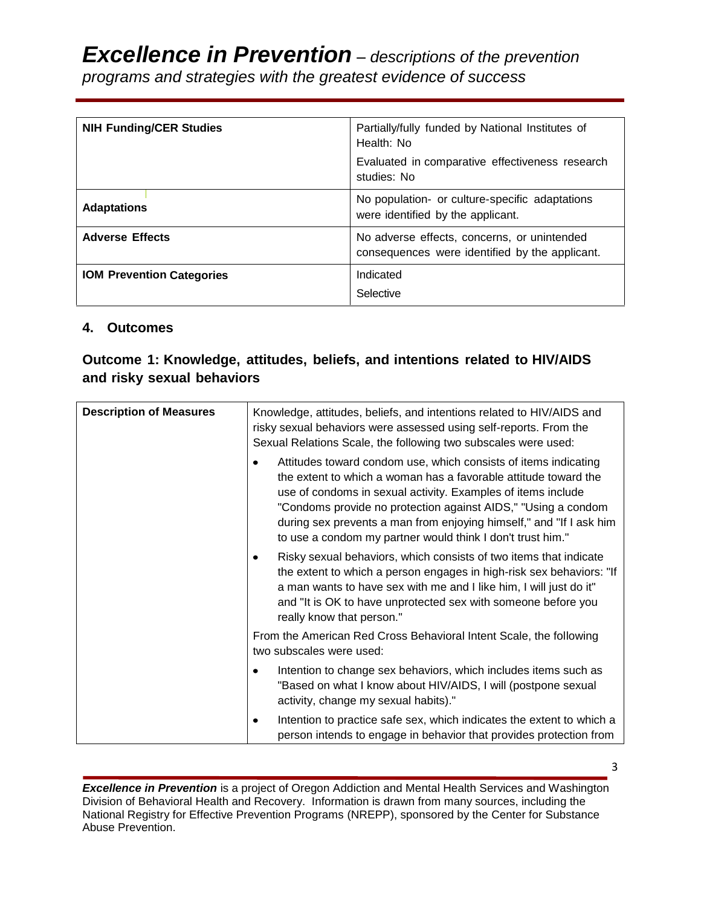# *Excellence in Prevention – descriptions of the prevention programs and strategies with the greatest evidence of success*

| <b>NIH Funding/CER Studies</b>   | Partially/fully funded by National Institutes of<br>Health: No                                |
|----------------------------------|-----------------------------------------------------------------------------------------------|
|                                  | Evaluated in comparative effectiveness research<br>studies: No                                |
| <b>Adaptations</b>               | No population- or culture-specific adaptations<br>were identified by the applicant.           |
| <b>Adverse Effects</b>           | No adverse effects, concerns, or unintended<br>consequences were identified by the applicant. |
| <b>IOM Prevention Categories</b> | Indicated                                                                                     |
|                                  | Selective                                                                                     |

# **4. Outcomes**

# **Outcome 1: Knowledge, attitudes, beliefs, and intentions related to HIV/AIDS and risky sexual behaviors**

| <b>Description of Measures</b> | Knowledge, attitudes, beliefs, and intentions related to HIV/AIDS and<br>risky sexual behaviors were assessed using self-reports. From the                                                                                                                                                                                                                                                                            |
|--------------------------------|-----------------------------------------------------------------------------------------------------------------------------------------------------------------------------------------------------------------------------------------------------------------------------------------------------------------------------------------------------------------------------------------------------------------------|
|                                | Sexual Relations Scale, the following two subscales were used:                                                                                                                                                                                                                                                                                                                                                        |
|                                | Attitudes toward condom use, which consists of items indicating<br>$\bullet$<br>the extent to which a woman has a favorable attitude toward the<br>use of condoms in sexual activity. Examples of items include<br>"Condoms provide no protection against AIDS," "Using a condom<br>during sex prevents a man from enjoying himself," and "If I ask him<br>to use a condom my partner would think I don't trust him." |
|                                | Risky sexual behaviors, which consists of two items that indicate<br>the extent to which a person engages in high-risk sex behaviors: "If<br>a man wants to have sex with me and I like him, I will just do it"<br>and "It is OK to have unprotected sex with someone before you<br>really know that person."                                                                                                         |
|                                | From the American Red Cross Behavioral Intent Scale, the following<br>two subscales were used:                                                                                                                                                                                                                                                                                                                        |
|                                | Intention to change sex behaviors, which includes items such as<br>$\bullet$<br>"Based on what I know about HIV/AIDS, I will (postpone sexual<br>activity, change my sexual habits)."                                                                                                                                                                                                                                 |
|                                | Intention to practice safe sex, which indicates the extent to which a<br>٠<br>person intends to engage in behavior that provides protection from                                                                                                                                                                                                                                                                      |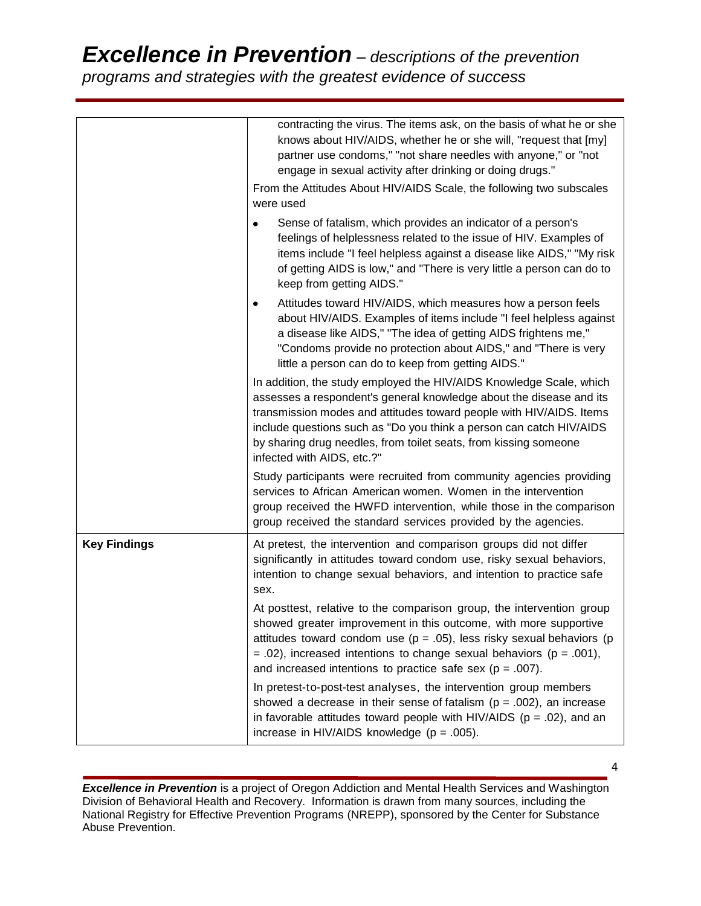# *Excellence in Prevention – descriptions of the prevention programs and strategies with the greatest evidence of success*

|                     | contracting the virus. The items ask, on the basis of what he or she<br>knows about HIV/AIDS, whether he or she will, "request that [my]<br>partner use condoms," "not share needles with anyone," or "not<br>engage in sexual activity after drinking or doing drugs."<br>From the Attitudes About HIV/AIDS Scale, the following two subscales<br>were used<br>Sense of fatalism, which provides an indicator of a person's |
|---------------------|------------------------------------------------------------------------------------------------------------------------------------------------------------------------------------------------------------------------------------------------------------------------------------------------------------------------------------------------------------------------------------------------------------------------------|
|                     | feelings of helplessness related to the issue of HIV. Examples of<br>items include "I feel helpless against a disease like AIDS," "My risk<br>of getting AIDS is low," and "There is very little a person can do to<br>keep from getting AIDS."                                                                                                                                                                              |
|                     | Attitudes toward HIV/AIDS, which measures how a person feels<br>$\bullet$<br>about HIV/AIDS. Examples of items include "I feel helpless against<br>a disease like AIDS," "The idea of getting AIDS frightens me,"<br>"Condoms provide no protection about AIDS," and "There is very<br>little a person can do to keep from getting AIDS."                                                                                    |
|                     | In addition, the study employed the HIV/AIDS Knowledge Scale, which<br>assesses a respondent's general knowledge about the disease and its<br>transmission modes and attitudes toward people with HIV/AIDS. Items<br>include questions such as "Do you think a person can catch HIV/AIDS<br>by sharing drug needles, from toilet seats, from kissing someone<br>infected with AIDS, etc.?"                                   |
|                     | Study participants were recruited from community agencies providing<br>services to African American women. Women in the intervention<br>group received the HWFD intervention, while those in the comparison<br>group received the standard services provided by the agencies.                                                                                                                                                |
| <b>Key Findings</b> | At pretest, the intervention and comparison groups did not differ<br>significantly in attitudes toward condom use, risky sexual behaviors,<br>intention to change sexual behaviors, and intention to practice safe<br>sex.                                                                                                                                                                                                   |
|                     | At posttest, relative to the comparison group, the intervention group<br>showed greater improvement in this outcome, with more supportive<br>attitudes toward condom use ( $p = .05$ ), less risky sexual behaviors ( $p$<br>$= .02$ ), increased intentions to change sexual behaviors ( $p = .001$ ),<br>and increased intentions to practice safe sex ( $p = .007$ ).                                                     |
|                     | In pretest-to-post-test analyses, the intervention group members<br>showed a decrease in their sense of fatalism ( $p = .002$ ), an increase<br>in favorable attitudes toward people with HIV/AIDS ( $p = .02$ ), and an<br>increase in HIV/AIDS knowledge ( $p = .005$ ).                                                                                                                                                   |

**Excellence in Prevention** is a project of Oregon Addiction and Mental Health Services and Washington Division of Behavioral Health and Recovery. Information is drawn from many sources, including the National Registry for Effective Prevention Programs (NREPP), sponsored by the Center for Substance Abuse Prevention.

4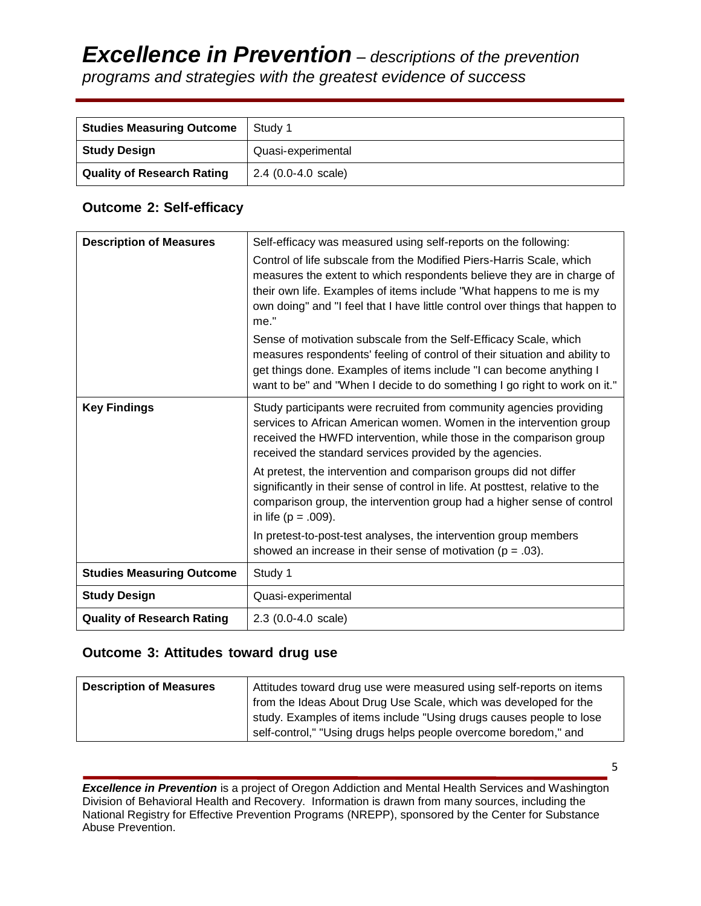| <b>Studies Measuring Outcome</b>  | Study 1               |
|-----------------------------------|-----------------------|
| <b>Study Design</b>               | Quasi-experimental    |
| <b>Quality of Research Rating</b> | $2.4$ (0.0-4.0 scale) |

# **Outcome 2: Self-efficacy**

| <b>Description of Measures</b>    | Self-efficacy was measured using self-reports on the following:                                                                                                                                                                                                                                               |
|-----------------------------------|---------------------------------------------------------------------------------------------------------------------------------------------------------------------------------------------------------------------------------------------------------------------------------------------------------------|
|                                   | Control of life subscale from the Modified Piers-Harris Scale, which<br>measures the extent to which respondents believe they are in charge of<br>their own life. Examples of items include "What happens to me is my<br>own doing" and "I feel that I have little control over things that happen to<br>me." |
|                                   | Sense of motivation subscale from the Self-Efficacy Scale, which<br>measures respondents' feeling of control of their situation and ability to<br>get things done. Examples of items include "I can become anything I<br>want to be" and "When I decide to do something I go right to work on it."            |
| <b>Key Findings</b>               | Study participants were recruited from community agencies providing<br>services to African American women. Women in the intervention group<br>received the HWFD intervention, while those in the comparison group<br>received the standard services provided by the agencies.                                 |
|                                   | At pretest, the intervention and comparison groups did not differ<br>significantly in their sense of control in life. At posttest, relative to the<br>comparison group, the intervention group had a higher sense of control<br>in life ( $p = .009$ ).                                                       |
|                                   | In pretest-to-post-test analyses, the intervention group members<br>showed an increase in their sense of motivation ( $p = .03$ ).                                                                                                                                                                            |
| <b>Studies Measuring Outcome</b>  | Study 1                                                                                                                                                                                                                                                                                                       |
| <b>Study Design</b>               | Quasi-experimental                                                                                                                                                                                                                                                                                            |
| <b>Quality of Research Rating</b> | $2.3$ (0.0-4.0 scale)                                                                                                                                                                                                                                                                                         |

# **Outcome 3: Attitudes toward drug use**

| <b>Description of Measures</b> | Attitudes toward drug use were measured using self-reports on items |
|--------------------------------|---------------------------------------------------------------------|
|                                | from the Ideas About Drug Use Scale, which was developed for the    |
|                                | study. Examples of items include "Using drugs causes people to lose |
|                                | self-control," "Using drugs helps people overcome boredom," and     |

**Excellence in Prevention** is a project of Oregon Addiction and Mental Health Services and Washington Division of Behavioral Health and Recovery. Information is drawn from many sources, including the National Registry for Effective Prevention Programs (NREPP), sponsored by the Center for Substance Abuse Prevention.

5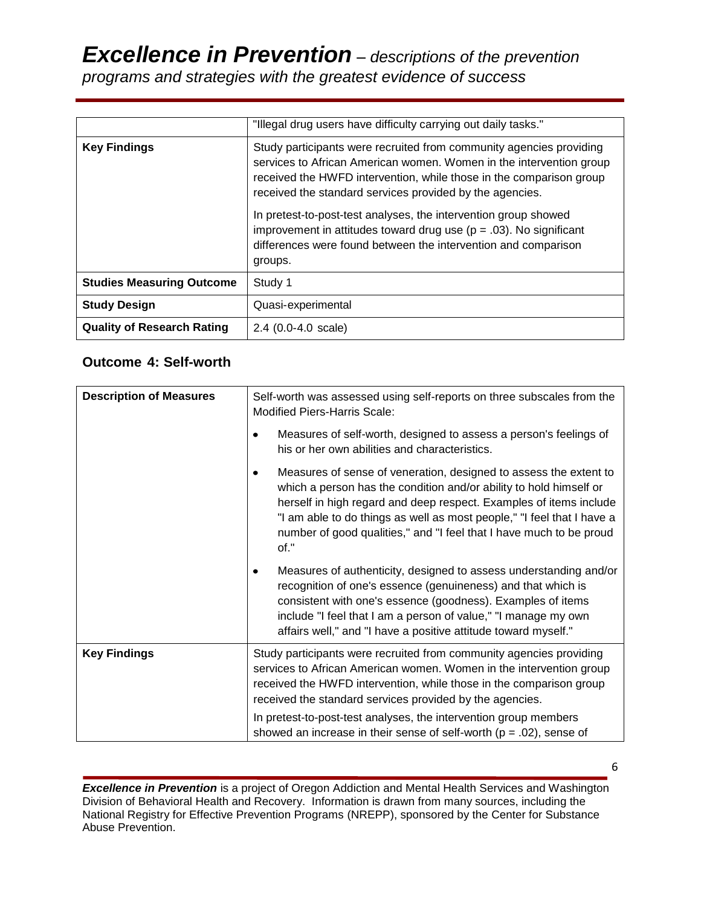# *Excellence in Prevention – descriptions of the prevention*

*programs and strategies with the greatest evidence of success*

|                                   | "Illegal drug users have difficulty carrying out daily tasks."                                                                                                                                                                                                                                                                                                                                                                                                                                          |  |
|-----------------------------------|---------------------------------------------------------------------------------------------------------------------------------------------------------------------------------------------------------------------------------------------------------------------------------------------------------------------------------------------------------------------------------------------------------------------------------------------------------------------------------------------------------|--|
| <b>Key Findings</b>               | Study participants were recruited from community agencies providing<br>services to African American women. Women in the intervention group<br>received the HWFD intervention, while those in the comparison group<br>received the standard services provided by the agencies.<br>In pretest-to-post-test analyses, the intervention group showed<br>improvement in attitudes toward drug use ( $p = .03$ ). No significant<br>differences were found between the intervention and comparison<br>groups. |  |
| <b>Studies Measuring Outcome</b>  | Study 1                                                                                                                                                                                                                                                                                                                                                                                                                                                                                                 |  |
| <b>Study Design</b>               | Quasi-experimental                                                                                                                                                                                                                                                                                                                                                                                                                                                                                      |  |
| <b>Quality of Research Rating</b> | $2.4$ (0.0-4.0 scale)                                                                                                                                                                                                                                                                                                                                                                                                                                                                                   |  |

# **Outcome 4: Self-worth**

| <b>Description of Measures</b> | Self-worth was assessed using self-reports on three subscales from the<br><b>Modified Piers-Harris Scale:</b>                                                                                                                                                                                                                                                                       |
|--------------------------------|-------------------------------------------------------------------------------------------------------------------------------------------------------------------------------------------------------------------------------------------------------------------------------------------------------------------------------------------------------------------------------------|
|                                | Measures of self-worth, designed to assess a person's feelings of<br>his or her own abilities and characteristics.                                                                                                                                                                                                                                                                  |
|                                | Measures of sense of veneration, designed to assess the extent to<br>$\bullet$<br>which a person has the condition and/or ability to hold himself or<br>herself in high regard and deep respect. Examples of items include<br>"I am able to do things as well as most people," "I feel that I have a<br>number of good qualities," and "I feel that I have much to be proud<br>of." |
|                                | Measures of authenticity, designed to assess understanding and/or<br>٠<br>recognition of one's essence (genuineness) and that which is<br>consistent with one's essence (goodness). Examples of items<br>include "I feel that I am a person of value," "I manage my own<br>affairs well," and "I have a positive attitude toward myself."                                           |
| <b>Key Findings</b>            | Study participants were recruited from community agencies providing<br>services to African American women. Women in the intervention group<br>received the HWFD intervention, while those in the comparison group<br>received the standard services provided by the agencies.                                                                                                       |
|                                | In pretest-to-post-test analyses, the intervention group members<br>showed an increase in their sense of self-worth ( $p = .02$ ), sense of                                                                                                                                                                                                                                         |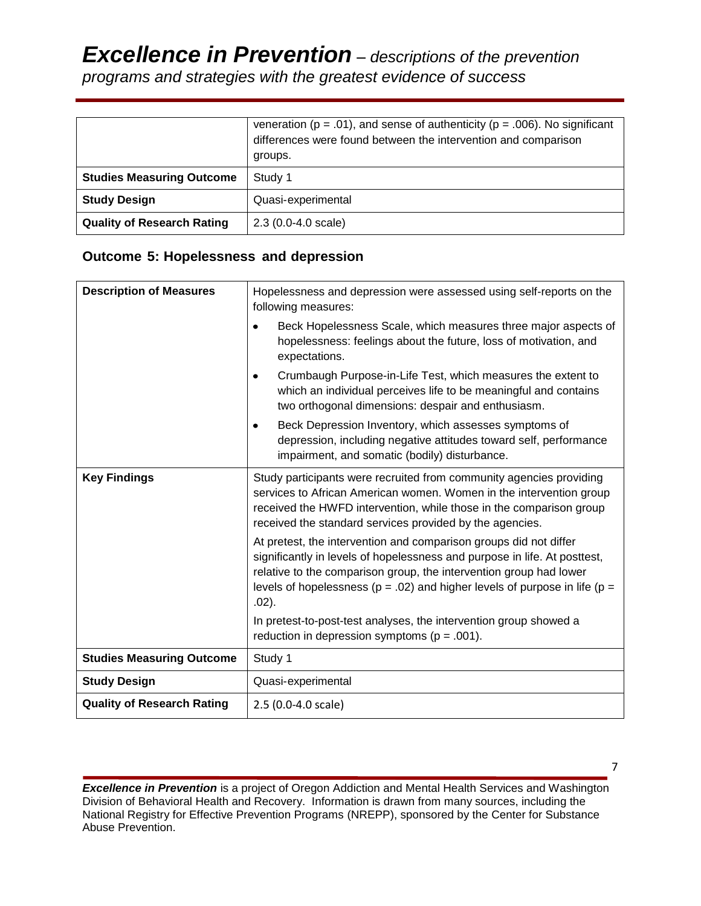*Excellence in Prevention – descriptions of the prevention programs and strategies with the greatest evidence of success*

|                                   | veneration ( $p = .01$ ), and sense of authenticity ( $p = .006$ ). No significant<br>differences were found between the intervention and comparison<br>groups. |
|-----------------------------------|-----------------------------------------------------------------------------------------------------------------------------------------------------------------|
| <b>Studies Measuring Outcome</b>  | Study 1                                                                                                                                                         |
| <b>Study Design</b>               | Quasi-experimental                                                                                                                                              |
| <b>Quality of Research Rating</b> | $2.3(0.0-4.0 scale)$                                                                                                                                            |

# **Outcome 5: Hopelessness and depression**

| <b>Description of Measures</b>    | Hopelessness and depression were assessed using self-reports on the<br>following measures:                                                                                                                                                                                                                            |
|-----------------------------------|-----------------------------------------------------------------------------------------------------------------------------------------------------------------------------------------------------------------------------------------------------------------------------------------------------------------------|
|                                   | Beck Hopelessness Scale, which measures three major aspects of<br>$\bullet$<br>hopelessness: feelings about the future, loss of motivation, and<br>expectations.                                                                                                                                                      |
|                                   | Crumbaugh Purpose-in-Life Test, which measures the extent to<br>which an individual perceives life to be meaningful and contains<br>two orthogonal dimensions: despair and enthusiasm.                                                                                                                                |
|                                   | Beck Depression Inventory, which assesses symptoms of<br>depression, including negative attitudes toward self, performance<br>impairment, and somatic (bodily) disturbance.                                                                                                                                           |
| <b>Key Findings</b>               | Study participants were recruited from community agencies providing<br>services to African American women. Women in the intervention group<br>received the HWFD intervention, while those in the comparison group<br>received the standard services provided by the agencies.                                         |
|                                   | At pretest, the intervention and comparison groups did not differ<br>significantly in levels of hopelessness and purpose in life. At posttest,<br>relative to the comparison group, the intervention group had lower<br>levels of hopelessness ( $p = .02$ ) and higher levels of purpose in life ( $p =$<br>$.02$ ). |
|                                   | In pretest-to-post-test analyses, the intervention group showed a<br>reduction in depression symptoms ( $p = .001$ ).                                                                                                                                                                                                 |
| <b>Studies Measuring Outcome</b>  | Study 1                                                                                                                                                                                                                                                                                                               |
| <b>Study Design</b>               | Quasi-experimental                                                                                                                                                                                                                                                                                                    |
| <b>Quality of Research Rating</b> | 2.5 (0.0-4.0 scale)                                                                                                                                                                                                                                                                                                   |

**Excellence in Prevention** is a project of Oregon Addiction and Mental Health Services and Washington Division of Behavioral Health and Recovery. Information is drawn from many sources, including the National Registry for Effective Prevention Programs (NREPP), sponsored by the Center for Substance Abuse Prevention.

7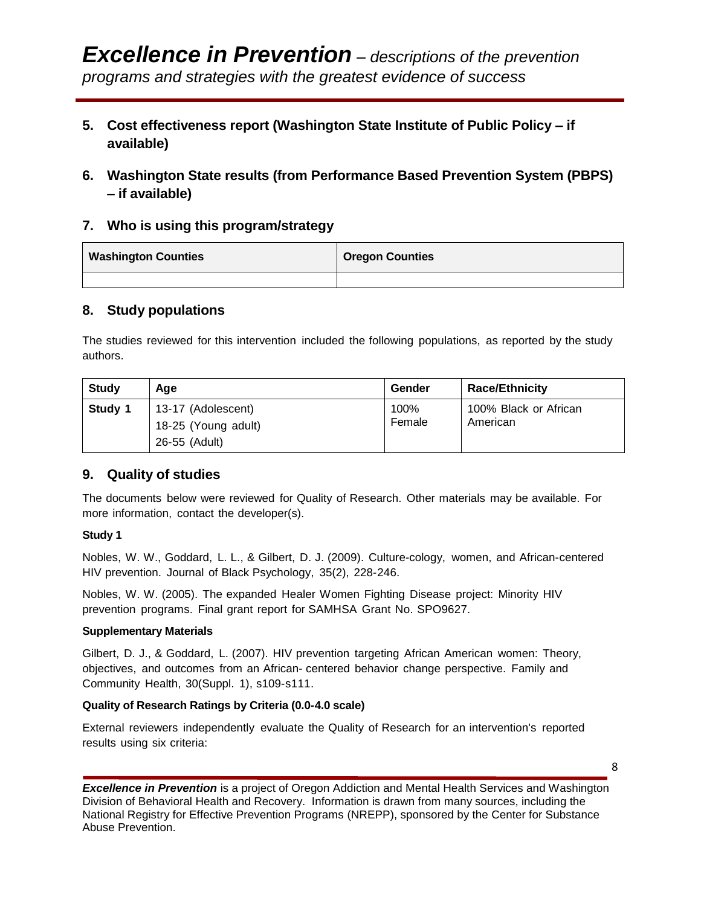- **5. Cost effectiveness report (Washington State Institute of Public Policy – if available)**
- **6. Washington State results (from Performance Based Prevention System (PBPS) – if available)**

## **7. Who is using this program/strategy**

| <b>Washington Counties</b> | <b>Oregon Counties</b> |
|----------------------------|------------------------|
|                            |                        |

#### **8. Study populations**

The studies reviewed for this intervention included the following populations, as reported by the study authors.

| <b>Study</b> | Aqe                                                        | Gender         | <b>Race/Ethnicity</b>             |
|--------------|------------------------------------------------------------|----------------|-----------------------------------|
| Study 1      | 13-17 (Adolescent)<br>18-25 (Young adult)<br>26-55 (Adult) | 100%<br>Female | 100% Black or African<br>American |

## **9. Quality of studies**

The documents below were reviewed for Quality of Research. Other materials may be available. For more information, contact the developer(s).

#### **Study 1**

Nobles, W. W., Goddard, L. L., & Gilbert, D. J. (2009). Culture-cology, women, and African-centered HIV prevention. Journal of Black Psychology, 35(2), 228-246.

Nobles, W. W. (2005). The expanded Healer Women Fighting Disease project: Minority HIV prevention programs. Final grant report for SAMHSA Grant No. SPO9627.

#### **Supplementary Materials**

Gilbert, D. J., & Goddard, L. (2007). HIV prevention targeting African American women: Theory, objectives, and outcomes from an African- centered behavior change perspective. Family and Community Health, 30(Suppl. 1), s109-s111.

#### **Quality of Research Ratings by Criteria (0.0-4.0 scale)**

External reviewers independently evaluate the Quality of Research for an intervention's reported results using six criteria: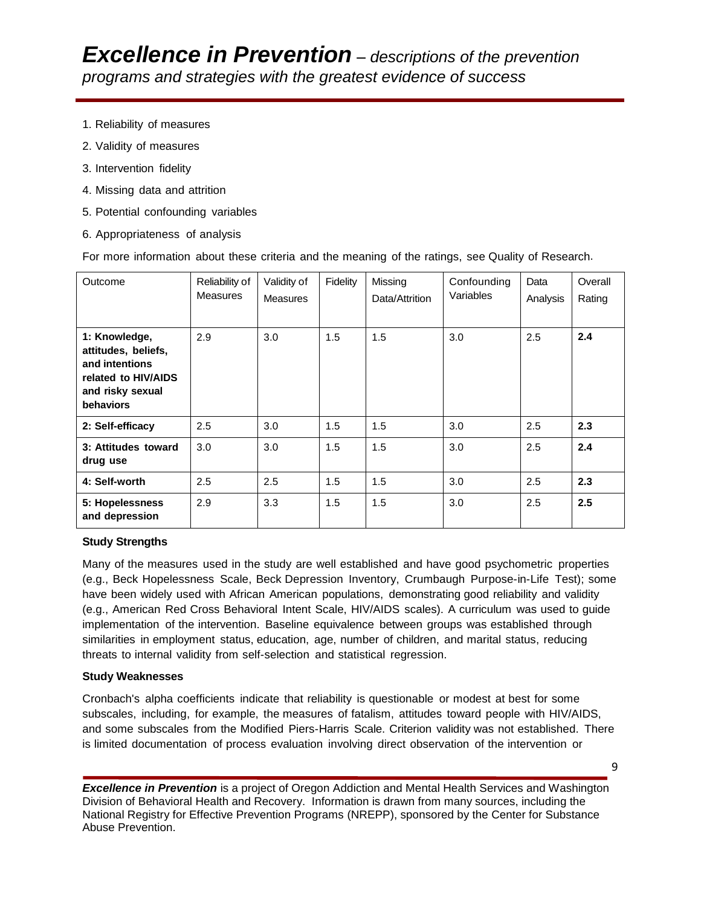- 1. Reliability of measures
- 2. Validity of measures
- 3. Intervention fidelity
- 4. Missing data and attrition
- 5. Potential confounding variables
- 6. Appropriateness of analysis

For more information about these criteria and the meaning of the ratings, see Quality of Research.

| Outcome                                                                                                        | Reliability of<br><b>Measures</b> | Validity of<br><b>Measures</b> | Fidelity | Missing<br>Data/Attrition | Confounding<br>Variables | Data<br>Analysis | Overall<br>Rating |
|----------------------------------------------------------------------------------------------------------------|-----------------------------------|--------------------------------|----------|---------------------------|--------------------------|------------------|-------------------|
| 1: Knowledge,<br>attitudes, beliefs,<br>and intentions<br>related to HIV/AIDS<br>and risky sexual<br>behaviors | 2.9                               | 3.0                            | 1.5      | 1.5                       | 3.0                      | 2.5              | 2.4               |
| 2: Self-efficacy                                                                                               | 2.5                               | 3.0                            | 1.5      | 1.5                       | 3.0                      | 2.5              | 2.3               |
| 3: Attitudes toward<br>drug use                                                                                | 3.0                               | 3.0                            | 1.5      | 1.5                       | 3.0                      | 2.5              | 2.4               |
| 4: Self-worth                                                                                                  | 2.5                               | 2.5                            | 1.5      | 1.5                       | 3.0                      | 2.5              | 2.3               |
| 5: Hopelessness<br>and depression                                                                              | 2.9                               | 3.3                            | 1.5      | 1.5                       | 3.0                      | 2.5              | 2.5               |

#### **Study Strengths**

Many of the measures used in the study are well established and have good psychometric properties (e.g., Beck Hopelessness Scale, Beck Depression Inventory, Crumbaugh Purpose-in-Life Test); some have been widely used with African American populations, demonstrating good reliability and validity (e.g., American Red Cross Behavioral Intent Scale, HIV/AIDS scales). A curriculum was used to guide implementation of the intervention. Baseline equivalence between groups was established through similarities in employment status, education, age, number of children, and marital status, reducing threats to internal validity from self-selection and statistical regression.

#### **Study Weaknesses**

Cronbach's alpha coefficients indicate that reliability is questionable or modest at best for some subscales, including, for example, the measures of fatalism, attitudes toward people with HIV/AIDS, and some subscales from the Modified Piers-Harris Scale. Criterion validity was not established. There is limited documentation of process evaluation involving direct observation of the intervention or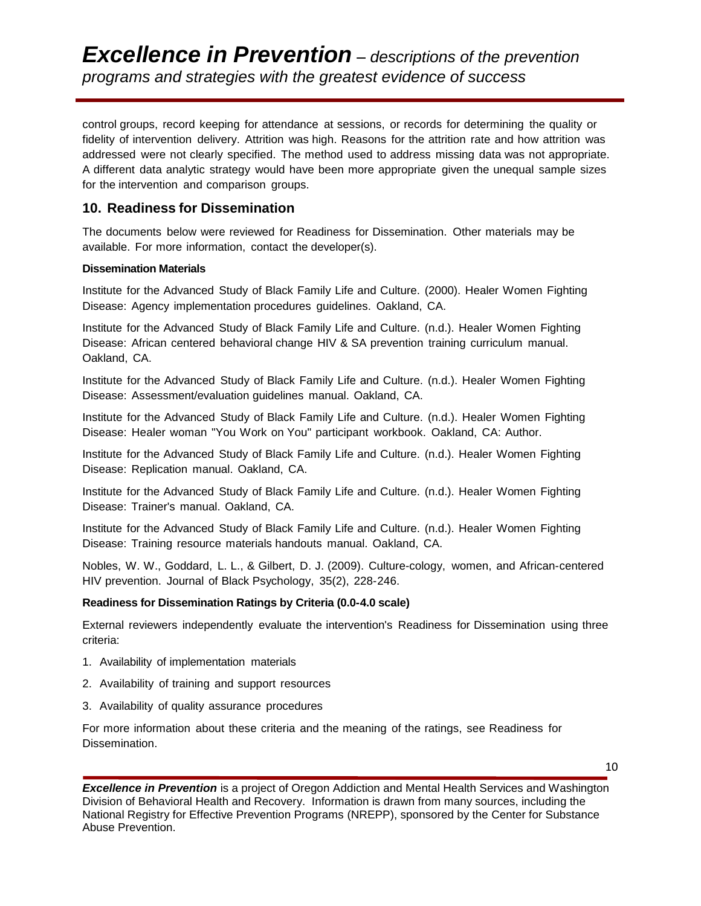control groups, record keeping for attendance at sessions, or records for determining the quality or fidelity of intervention delivery. Attrition was high. Reasons for the attrition rate and how attrition was addressed were not clearly specified. The method used to address missing data was not appropriate. A different data analytic strategy would have been more appropriate given the unequal sample sizes for the intervention and comparison groups.

## **10. Readiness for Dissemination**

The documents below were reviewed for Readiness for Dissemination. Other materials may be available. For more information, contact the developer(s).

#### **Dissemination Materials**

Institute for the Advanced Study of Black Family Life and Culture. (2000). Healer Women Fighting Disease: Agency implementation procedures guidelines. Oakland, CA.

Institute for the Advanced Study of Black Family Life and Culture. (n.d.). Healer Women Fighting Disease: African centered behavioral change HIV & SA prevention training curriculum manual. Oakland, CA.

Institute for the Advanced Study of Black Family Life and Culture. (n.d.). Healer Women Fighting Disease: Assessment/evaluation guidelines manual. Oakland, CA.

Institute for the Advanced Study of Black Family Life and Culture. (n.d.). Healer Women Fighting Disease: Healer woman "You Work on You" participant workbook. Oakland, CA: Author.

Institute for the Advanced Study of Black Family Life and Culture. (n.d.). Healer Women Fighting Disease: Replication manual. Oakland, CA.

Institute for the Advanced Study of Black Family Life and Culture. (n.d.). Healer Women Fighting Disease: Trainer's manual. Oakland, CA.

Institute for the Advanced Study of Black Family Life and Culture. (n.d.). Healer Women Fighting Disease: Training resource materials handouts manual. Oakland, CA.

Nobles, W. W., Goddard, L. L., & Gilbert, D. J. (2009). Culture-cology, women, and African-centered HIV prevention. Journal of Black Psychology, 35(2), 228-246.

#### **Readiness for Dissemination Ratings by Criteria (0.0-4.0 scale)**

External reviewers independently evaluate the intervention's Readiness for Dissemination using three criteria:

- 1. Availability of implementation materials
- 2. Availability of training and support resources
- 3. Availability of quality assurance procedures

For more information about these criteria and the meaning of the ratings, see Readiness for Dissemination.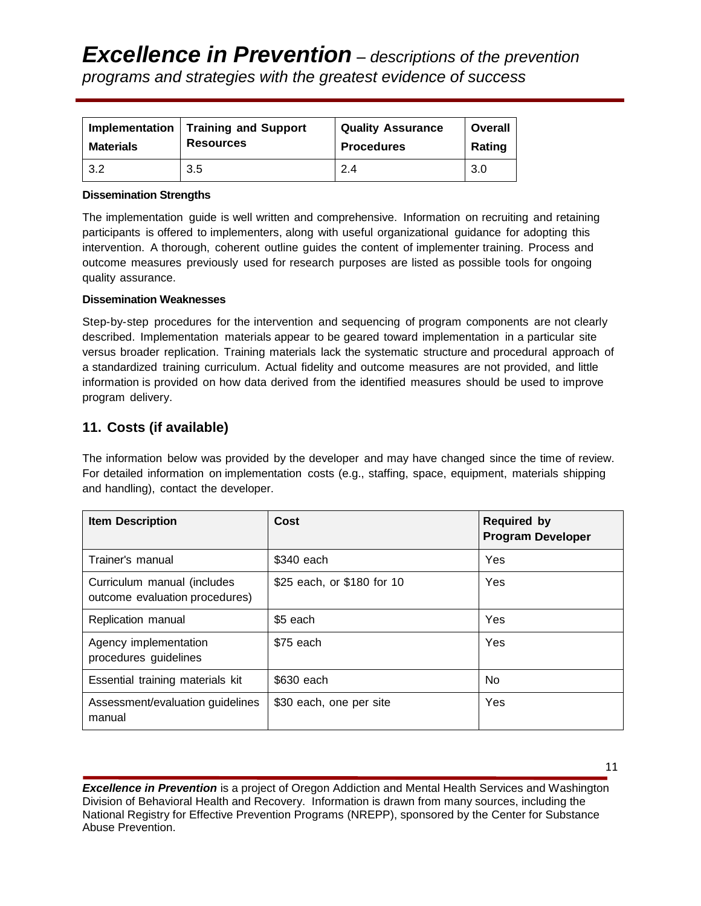| Implementation   | <b>Training and Support</b> | <b>Quality Assurance</b> | Overall |
|------------------|-----------------------------|--------------------------|---------|
| <b>Materials</b> | <b>Resources</b>            | <b>Procedures</b>        | Rating  |
| -3.2             | 3.5                         | 2.4                      | 3.0     |

#### **Dissemination Strengths**

The implementation guide is well written and comprehensive. Information on recruiting and retaining participants is offered to implementers, along with useful organizational guidance for adopting this intervention. A thorough, coherent outline guides the content of implementer training. Process and outcome measures previously used for research purposes are listed as possible tools for ongoing quality assurance.

#### **Dissemination Weaknesses**

Step-by-step procedures for the intervention and sequencing of program components are not clearly described. Implementation materials appear to be geared toward implementation in a particular site versus broader replication. Training materials lack the systematic structure and procedural approach of a standardized training curriculum. Actual fidelity and outcome measures are not provided, and little information is provided on how data derived from the identified measures should be used to improve program delivery.

# **11. Costs (if available)**

The information below was provided by the developer and may have changed since the time of review. For detailed information on implementation costs (e.g., staffing, space, equipment, materials shipping and handling), contact the developer.

| <b>Item Description</b>                                       | Cost                       | <b>Required by</b><br><b>Program Developer</b> |
|---------------------------------------------------------------|----------------------------|------------------------------------------------|
| Trainer's manual                                              | \$340 each                 | Yes                                            |
| Curriculum manual (includes<br>outcome evaluation procedures) | \$25 each, or \$180 for 10 | Yes                                            |
| Replication manual                                            | \$5 each                   | Yes                                            |
| Agency implementation<br>procedures guidelines                | \$75 each                  | Yes                                            |
| Essential training materials kit                              | \$630 each                 | No.                                            |
| Assessment/evaluation guidelines<br>manual                    | \$30 each, one per site    | Yes                                            |